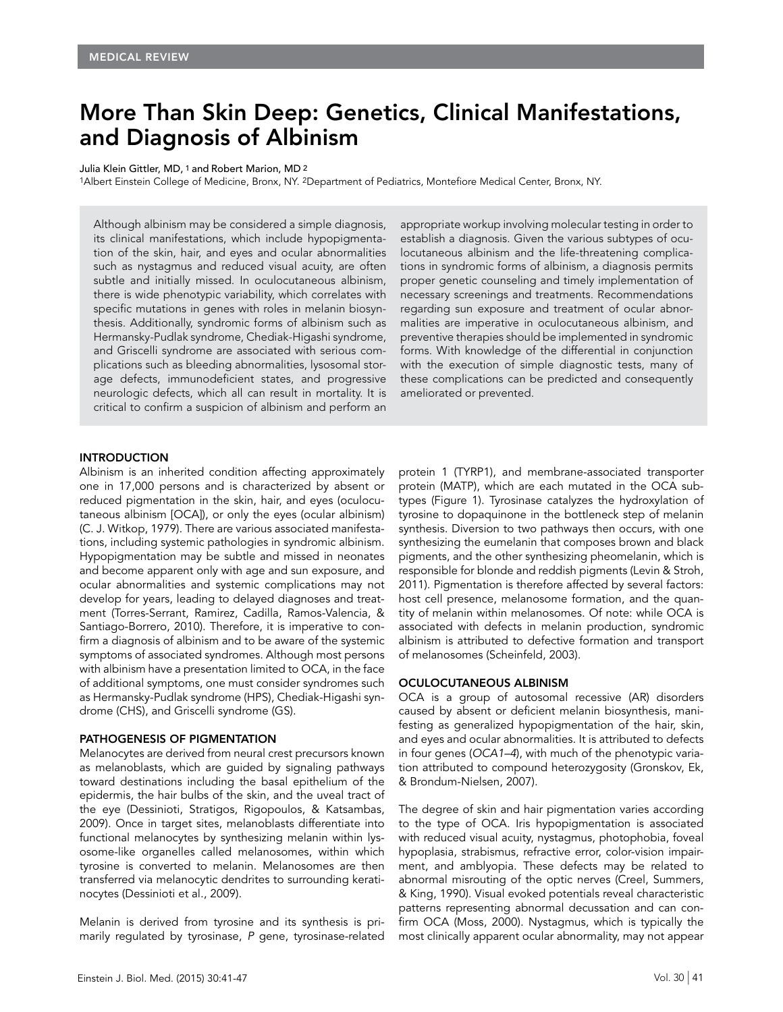# More Than Skin Deep: Genetics, Clinical Manifestations, and Diagnosis of Albinism

Julia Klein Gittler, MD, 1 and Robert Marion, MD 2

1Albert Einstein College of Medicine, Bronx, NY. 2Department of Pediatrics, Montefiore Medical Center, Bronx, NY.

Although albinism may be considered a simple diagnosis, its clinical manifestations, which include hypopigmentation of the skin, hair, and eyes and ocular abnormalities such as nystagmus and reduced visual acuity, are often subtle and initially missed. In oculocutaneous albinism, there is wide phenotypic variability, which correlates with specific mutations in genes with roles in melanin biosynthesis. Additionally, syndromic forms of albinism such as Hermansky-Pudlak syndrome, Chediak-Higashi syndrome, and Griscelli syndrome are associated with serious complications such as bleeding abnormalities, lysosomal storage defects, immunodeficient states, and progressive neurologic defects, which all can result in mortality. It is critical to confirm a suspicion of albinism and perform an

appropriate workup involving molecular testing in order to establish a diagnosis. Given the various subtypes of oculocutaneous albinism and the life-threatening complications in syndromic forms of albinism, a diagnosis permits proper genetic counseling and timely implementation of necessary screenings and treatments. Recommendations regarding sun exposure and treatment of ocular abnormalities are imperative in oculocutaneous albinism, and preventive therapies should be implemented in syndromic forms. With knowledge of the differential in conjunction with the execution of simple diagnostic tests, many of these complications can be predicted and consequently ameliorated or prevented.

## INTRODUCTION

Albinism is an inherited condition affecting approximately one in 17,000 persons and is characterized by absent or reduced pigmentation in the skin, hair, and eyes (oculocutaneous albinism [OCA]), or only the eyes (ocular albinism) (C. J. Witkop, 1979). There are various associated manifestations, including systemic pathologies in syndromic albinism. Hypopigmentation may be subtle and missed in neonates and become apparent only with age and sun exposure, and ocular abnormalities and systemic complications may not develop for years, leading to delayed diagnoses and treatment (Torres-Serrant, Ramirez, Cadilla, Ramos-Valencia, & Santiago-Borrero, 2010). Therefore, it is imperative to confirm a diagnosis of albinism and to be aware of the systemic symptoms of associated syndromes. Although most persons with albinism have a presentation limited to OCA, in the face of additional symptoms, one must consider syndromes such as Hermansky-Pudlak syndrome (HPS), Chediak-Higashi syndrome (CHS), and Griscelli syndrome (GS).

# PATHOGENESIS OF PIGMENTATION

Melanocytes are derived from neural crest precursors known as melanoblasts, which are guided by signaling pathways toward destinations including the basal epithelium of the epidermis, the hair bulbs of the skin, and the uveal tract of the eye (Dessinioti, Stratigos, Rigopoulos, & Katsambas, 2009). Once in target sites, melanoblasts differentiate into functional melanocytes by synthesizing melanin within lysosome-like organelles called melanosomes, within which tyrosine is converted to melanin. Melanosomes are then transferred via melanocytic dendrites to surrounding keratinocytes (Dessinioti et al., 2009).

Melanin is derived from tyrosine and its synthesis is primarily regulated by tyrosinase, P gene, tyrosinase-related protein 1 (TYRP1), and membrane-associated transporter protein (MATP), which are each mutated in the OCA subtypes (Figure 1). Tyrosinase catalyzes the hydroxylation of tyrosine to dopaquinone in the bottleneck step of melanin synthesis. Diversion to two pathways then occurs, with one synthesizing the eumelanin that composes brown and black pigments, and the other synthesizing pheomelanin, which is responsible for blonde and reddish pigments (Levin & Stroh, 2011). Pigmentation is therefore affected by several factors: host cell presence, melanosome formation, and the quantity of melanin within melanosomes. Of note: while OCA is associated with defects in melanin production, syndromic albinism is attributed to defective formation and transport of melanosomes (Scheinfeld, 2003).

# OCULOCUTANEOUS ALBINISM

OCA is a group of autosomal recessive (AR) disorders caused by absent or deficient melanin biosynthesis, manifesting as generalized hypopigmentation of the hair, skin, and eyes and ocular abnormalities. It is attributed to defects in four genes (OCA1–4), with much of the phenotypic variation attributed to compound heterozygosity (Gronskov, Ek, & Brondum-Nielsen, 2007).

The degree of skin and hair pigmentation varies according to the type of OCA. Iris hypopigmentation is associated with reduced visual acuity, nystagmus, photophobia, foveal hypoplasia, strabismus, refractive error, color-vision impairment, and amblyopia. These defects may be related to abnormal misrouting of the optic nerves (Creel, Summers, & King, 1990). Visual evoked potentials reveal characteristic patterns representing abnormal decussation and can confirm OCA (Moss, 2000). Nystagmus, which is typically the most clinically apparent ocular abnormality, may not appear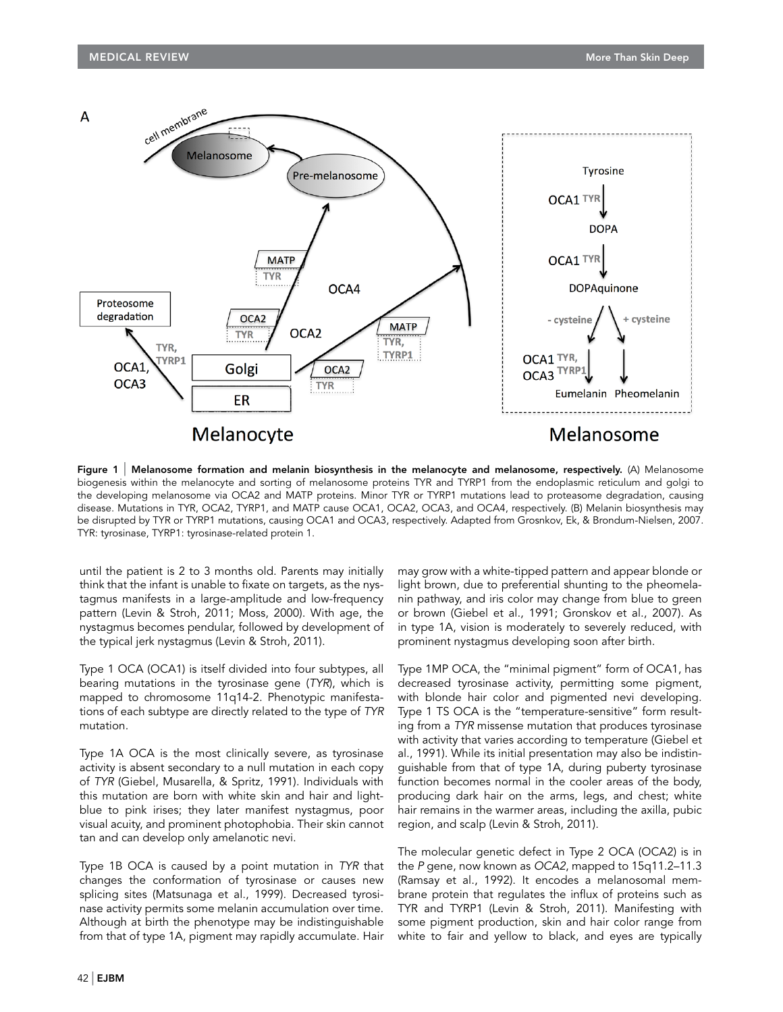

Figure 1 | Melanosome formation and melanin biosynthesis in the melanocyte and melanosome, respectively. (A) Melanosome biogenesis within the melanocyte and sorting of melanosome proteins TYR and TYRP1 from the endoplasmic reticulum and golgi to the developing melanosome via OCA2 and MATP proteins. Minor TYR or TYRP1 mutations lead to proteasome degradation, causing disease. Mutations in TYR, OCA2, TYRP1, and MATP cause OCA1, OCA2, OCA3, and OCA4, respectively. (B) Melanin biosynthesis may be disrupted by TYR or TYRP1 mutations, causing OCA1 and OCA3, respectively. Adapted from Grosnkov, Ek, & Brondum-Nielsen, 2007. TYR: tyrosinase, TYRP1: tyrosinase-related protein 1.

until the patient is 2 to 3 months old. Parents may initially think that the infant is unable to fixate on targets, as the nystagmus manifests in a large-amplitude and low-frequency pattern (Levin & Stroh, 2011; Moss, 2000). With age, the nystagmus becomes pendular, followed by development of the typical jerk nystagmus (Levin & Stroh, 2011).

Type 1 OCA (OCA1) is itself divided into four subtypes, all bearing mutations in the tyrosinase gene (TYR), which is mapped to chromosome 11q14-2. Phenotypic manifestations of each subtype are directly related to the type of TYR mutation.

Type 1A OCA is the most clinically severe, as tyrosinase activity is absent secondary to a null mutation in each copy of TYR (Giebel, Musarella, & Spritz, 1991). Individuals with this mutation are born with white skin and hair and lightblue to pink irises; they later manifest nystagmus, poor visual acuity, and prominent photophobia. Their skin cannot tan and can develop only amelanotic nevi.

Type 1B OCA is caused by a point mutation in TYR that changes the conformation of tyrosinase or causes new splicing sites (Matsunaga et al., 1999). Decreased tyrosinase activity permits some melanin accumulation over time. Although at birth the phenotype may be indistinguishable from that of type 1A, pigment may rapidly accumulate. Hair

may grow with a white-tipped pattern and appear blonde or light brown, due to preferential shunting to the pheomelanin pathway, and iris color may change from blue to green or brown (Giebel et al., 1991; Gronskov et al., 2007). As in type 1A, vision is moderately to severely reduced, with prominent nystagmus developing soon after birth.

Type 1MP OCA, the "minimal pigment" form of OCA1, has decreased tyrosinase activity, permitting some pigment, with blonde hair color and pigmented nevi developing. Type 1 TS OCA is the "temperature-sensitive" form resulting from a TYR missense mutation that produces tyrosinase with activity that varies according to temperature (Giebel et al., 1991). While its initial presentation may also be indistinguishable from that of type 1A, during puberty tyrosinase function becomes normal in the cooler areas of the body, producing dark hair on the arms, legs, and chest; white hair remains in the warmer areas, including the axilla, pubic region, and scalp (Levin & Stroh, 2011).

The molecular genetic defect in Type 2 OCA (OCA2) is in the P gene, now known as OCA2, mapped to 15q11.2–11.3 (Ramsay et al., 1992). It encodes a melanosomal membrane protein that regulates the influx of proteins such as TYR and TYRP1 (Levin & Stroh, 2011). Manifesting with some pigment production, skin and hair color range from white to fair and yellow to black, and eyes are typically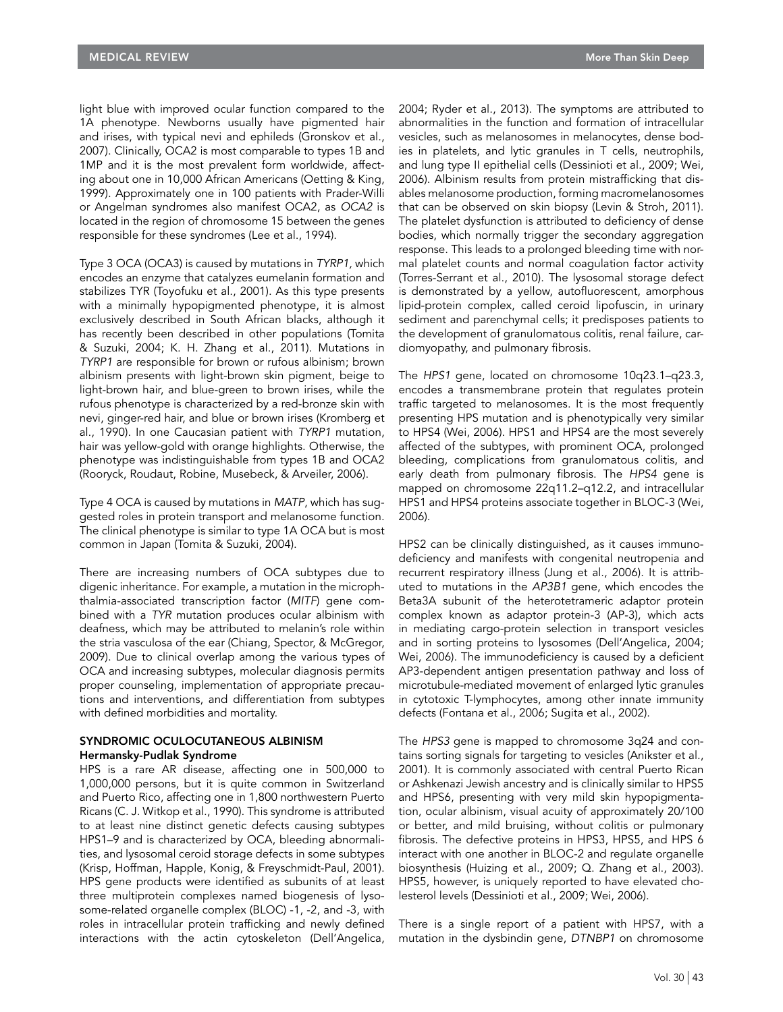light blue with improved ocular function compared to the 1A phenotype. Newborns usually have pigmented hair and irises, with typical nevi and ephileds (Gronskov et al., 2007). Clinically, OCA2 is most comparable to types 1B and 1MP and it is the most prevalent form worldwide, affecting about one in 10,000 African Americans (Oetting & King, 1999). Approximately one in 100 patients with Prader-Willi or Angelman syndromes also manifest OCA2, as OCA2 is located in the region of chromosome 15 between the genes responsible for these syndromes (Lee et al., 1994).

Type 3 OCA (OCA3) is caused by mutations in TYRP1, which encodes an enzyme that catalyzes eumelanin formation and stabilizes TYR (Toyofuku et al., 2001). As this type presents with a minimally hypopigmented phenotype, it is almost exclusively described in South African blacks, although it has recently been described in other populations (Tomita & Suzuki, 2004; K. H. Zhang et al., 2011). Mutations in TYRP1 are responsible for brown or rufous albinism; brown albinism presents with light-brown skin pigment, beige to light-brown hair, and blue-green to brown irises, while the rufous phenotype is characterized by a red-bronze skin with nevi, ginger-red hair, and blue or brown irises (Kromberg et al., 1990). In one Caucasian patient with TYRP1 mutation, hair was yellow-gold with orange highlights. Otherwise, the phenotype was indistinguishable from types 1B and OCA2 (Rooryck, Roudaut, Robine, Musebeck, & Arveiler, 2006).

Type 4 OCA is caused by mutations in MATP, which has suggested roles in protein transport and melanosome function. The clinical phenotype is similar to type 1A OCA but is most common in Japan (Tomita & Suzuki, 2004).

There are increasing numbers of OCA subtypes due to digenic inheritance. For example, a mutation in the microphthalmia-associated transcription factor (MITF) gene combined with a TYR mutation produces ocular albinism with deafness, which may be attributed to melanin's role within the stria vasculosa of the ear (Chiang, Spector, & McGregor, 2009). Due to clinical overlap among the various types of OCA and increasing subtypes, molecular diagnosis permits proper counseling, implementation of appropriate precautions and interventions, and differentiation from subtypes with defined morbidities and mortality.

#### SYNDROMIC OCULOCUTANEOUS ALBINISM Hermansky-Pudlak Syndrome

HPS is a rare AR disease, affecting one in 500,000 to 1,000,000 persons, but it is quite common in Switzerland and Puerto Rico, affecting one in 1,800 northwestern Puerto Ricans (C. J. Witkop et al., 1990). This syndrome is attributed to at least nine distinct genetic defects causing subtypes HPS1–9 and is characterized by OCA, bleeding abnormalities, and lysosomal ceroid storage defects in some subtypes (Krisp, Hoffman, Happle, Konig, & Freyschmidt-Paul, 2001). HPS gene products were identified as subunits of at least three multiprotein complexes named biogenesis of lysosome-related organelle complex (BLOC) -1, -2, and -3, with roles in intracellular protein trafficking and newly defined interactions with the actin cytoskeleton (Dell'Angelica,

2004; Ryder et al., 2013). The symptoms are attributed to abnormalities in the function and formation of intracellular vesicles, such as melanosomes in melanocytes, dense bodies in platelets, and lytic granules in T cells, neutrophils, and lung type II epithelial cells (Dessinioti et al., 2009; Wei, 2006). Albinism results from protein mistrafficking that disables melanosome production, forming macromelanosomes that can be observed on skin biopsy (Levin & Stroh, 2011). The platelet dysfunction is attributed to deficiency of dense bodies, which normally trigger the secondary aggregation response. This leads to a prolonged bleeding time with normal platelet counts and normal coagulation factor activity (Torres-Serrant et al., 2010). The lysosomal storage defect is demonstrated by a yellow, autofluorescent, amorphous lipid-protein complex, called ceroid lipofuscin, in urinary sediment and parenchymal cells; it predisposes patients to the development of granulomatous colitis, renal failure, cardiomyopathy, and pulmonary fibrosis.

The HPS1 gene, located on chromosome 10q23.1–q23.3, encodes a transmembrane protein that regulates protein traffic targeted to melanosomes. It is the most frequently presenting HPS mutation and is phenotypically very similar to HPS4 (Wei, 2006). HPS1 and HPS4 are the most severely affected of the subtypes, with prominent OCA, prolonged bleeding, complications from granulomatous colitis, and early death from pulmonary fibrosis. The HPS4 gene is mapped on chromosome 22q11.2–q12.2, and intracellular HPS1 and HPS4 proteins associate together in BLOC-3 (Wei, 2006).

HPS2 can be clinically distinguished, as it causes immunodeficiency and manifests with congenital neutropenia and recurrent respiratory illness (Jung et al., 2006). It is attributed to mutations in the AP3B1 gene, which encodes the Beta3A subunit of the heterotetrameric adaptor protein complex known as adaptor protein-3 (AP-3), which acts in mediating cargo-protein selection in transport vesicles and in sorting proteins to lysosomes (Dell'Angelica, 2004; Wei, 2006). The immunodeficiency is caused by a deficient AP3-dependent antigen presentation pathway and loss of microtubule-mediated movement of enlarged lytic granules in cytotoxic T-lymphocytes, among other innate immunity defects (Fontana et al., 2006; Sugita et al., 2002).

The HPS3 gene is mapped to chromosome 3q24 and contains sorting signals for targeting to vesicles (Anikster et al., 2001). It is commonly associated with central Puerto Rican or Ashkenazi Jewish ancestry and is clinically similar to HPS5 and HPS6, presenting with very mild skin hypopigmentation, ocular albinism, visual acuity of approximately 20/100 or better, and mild bruising, without colitis or pulmonary fibrosis. The defective proteins in HPS3, HPS5, and HPS 6 interact with one another in BLOC-2 and regulate organelle biosynthesis (Huizing et al., 2009; Q. Zhang et al., 2003). HPS5, however, is uniquely reported to have elevated cholesterol levels (Dessinioti et al., 2009; Wei, 2006).

There is a single report of a patient with HPS7, with a mutation in the dysbindin gene, DTNBP1 on chromosome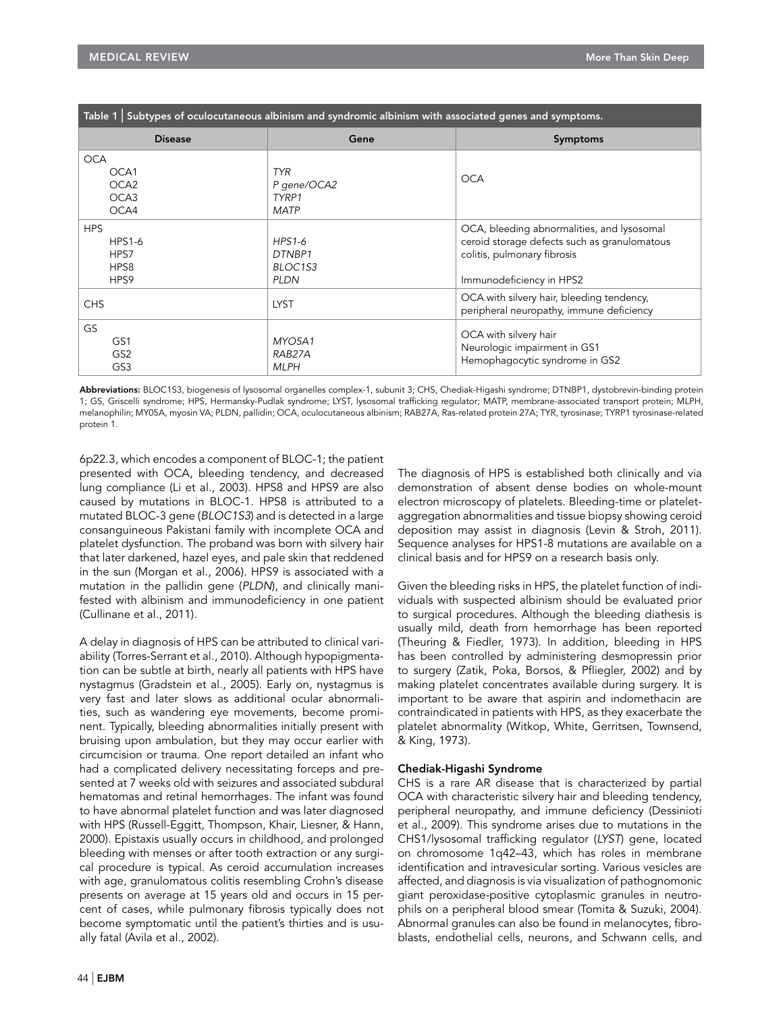| Table 1 Subtypes of oculocutaneous albinism and syndromic albinism with associated genes and symptoms. |                                                   |                                                                                                                                                       |
|--------------------------------------------------------------------------------------------------------|---------------------------------------------------|-------------------------------------------------------------------------------------------------------------------------------------------------------|
| <b>Disease</b>                                                                                         | Gene                                              | Symptoms                                                                                                                                              |
| <b>OCA</b><br>OCA1<br>OCA <sub>2</sub><br>OCA <sub>3</sub><br>OCA4                                     | <b>TYR</b><br>P gene/OCA2<br>TYRP1<br><b>MATP</b> | <b>OCA</b>                                                                                                                                            |
| <b>HPS</b><br><b>HPS1-6</b><br>HPS7<br>HPS8<br>HPS9                                                    | HPS1-6<br>DTNBP1<br>BLOC1S3<br><b>PLDN</b>        | OCA, bleeding abnormalities, and lysosomal<br>ceroid storage defects such as granulomatous<br>colitis, pulmonary fibrosis<br>Immunodeficiency in HPS2 |
| <b>CHS</b>                                                                                             | <b>LYST</b>                                       | OCA with silvery hair, bleeding tendency,<br>peripheral neuropathy, immune deficiency                                                                 |
| GS<br>GS1<br>GS <sub>2</sub><br>GS3                                                                    | MYO5A1<br>RAB27A<br><b>MLPH</b>                   | OCA with silvery hair<br>Neurologic impairment in GS1<br>Hemophagocytic syndrome in GS2                                                               |

Abbreviations: BLOC1S3, biogenesis of lysosomal organelles complex-1, subunit 3; CHS, Chediak-Higashi syndrome; DTNBP1, dystobrevin-binding protein 1; GS, Griscelli syndrome; HPS, Hermansky-Pudlak syndrome; LYST, lysosomal trafficking regulator; MATP, membrane-associated transport protein; MLPH, melanophilin; MY05A, myosin VA; PLDN, pallidin; OCA, oculocutaneous albinism; RAB27A, Ras-related protein 27A; TYR, tyrosinase; TYRP1 tyrosinase-related protein 1.

6p22.3, which encodes a component of BLOC-1; the patient presented with OCA, bleeding tendency, and decreased lung compliance (Li et al., 2003). HPS8 and HPS9 are also caused by mutations in BLOC-1. HPS8 is attributed to a mutated BLOC-3 gene (BLOC1S3) and is detected in a large consanguineous Pakistani family with incomplete OCA and platelet dysfunction. The proband was born with silvery hair that later darkened, hazel eyes, and pale skin that reddened in the sun (Morgan et al., 2006). HPS9 is associated with a mutation in the pallidin gene (PLDN), and clinically manifested with albinism and immunodeficiency in one patient (Cullinane et al., 2011).

A delay in diagnosis of HPS can be attributed to clinical variability (Torres-Serrant et al., 2010). Although hypopigmentation can be subtle at birth, nearly all patients with HPS have nystagmus (Gradstein et al., 2005). Early on, nystagmus is very fast and later slows as additional ocular abnormalities, such as wandering eye movements, become prominent. Typically, bleeding abnormalities initially present with bruising upon ambulation, but they may occur earlier with circumcision or trauma. One report detailed an infant who had a complicated delivery necessitating forceps and presented at 7 weeks old with seizures and associated subdural hematomas and retinal hemorrhages. The infant was found to have abnormal platelet function and was later diagnosed with HPS (Russell-Eggitt, Thompson, Khair, Liesner, & Hann, 2000). Epistaxis usually occurs in childhood, and prolonged bleeding with menses or after tooth extraction or any surgical procedure is typical. As ceroid accumulation increases with age, granulomatous colitis resembling Crohn's disease presents on average at 15 years old and occurs in 15 percent of cases, while pulmonary fibrosis typically does not become symptomatic until the patient's thirties and is usually fatal (Avila et al., 2002).

The diagnosis of HPS is established both clinically and via demonstration of absent dense bodies on whole-mount electron microscopy of platelets. Bleeding-time or plateletaggregation abnormalities and tissue biopsy showing ceroid deposition may assist in diagnosis (Levin & Stroh, 2011). Sequence analyses for HPS1-8 mutations are available on a clinical basis and for HPS9 on a research basis only.

Given the bleeding risks in HPS, the platelet function of individuals with suspected albinism should be evaluated prior to surgical procedures. Although the bleeding diathesis is usually mild, death from hemorrhage has been reported (Theuring & Fiedler, 1973). In addition, bleeding in HPS has been controlled by administering desmopressin prior to surgery (Zatik, Poka, Borsos, & Pfliegler, 2002) and by making platelet concentrates available during surgery. It is important to be aware that aspirin and indomethacin are contraindicated in patients with HPS, as they exacerbate the platelet abnormality (Witkop, White, Gerritsen, Townsend, & King, 1973).

### Chediak-Higashi Syndrome

CHS is a rare AR disease that is characterized by partial OCA with characteristic silvery hair and bleeding tendency, peripheral neuropathy, and immune deficiency (Dessinioti et al., 2009). This syndrome arises due to mutations in the CHS1/lysosomal trafficking regulator (LYST) gene, located on chromosome 1q42–43, which has roles in membrane identification and intravesicular sorting. Various vesicles are affected, and diagnosis is via visualization of pathognomonic giant peroxidase-positive cytoplasmic granules in neutrophils on a peripheral blood smear (Tomita & Suzuki, 2004). Abnormal granules can also be found in melanocytes, fibroblasts, endothelial cells, neurons, and Schwann cells, and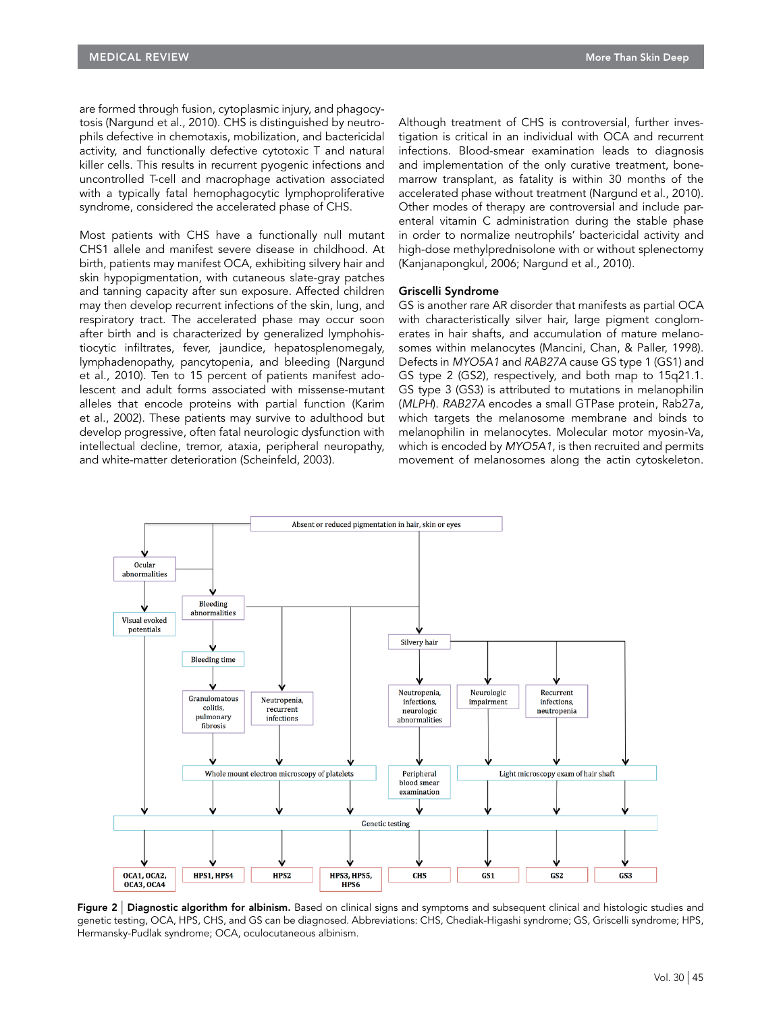are formed through fusion, cytoplasmic injury, and phagocytosis (Nargund et al., 2010). CHS is distinguished by neutrophils defective in chemotaxis, mobilization, and bactericidal activity, and functionally defective cytotoxic T and natural killer cells. This results in recurrent pyogenic infections and uncontrolled T-cell and macrophage activation associated with a typically fatal hemophagocytic lymphoproliferative syndrome, considered the accelerated phase of CHS.

Most patients with CHS have a functionally null mutant CHS1 allele and manifest severe disease in childhood. At birth, patients may manifest OCA, exhibiting silvery hair and skin hypopigmentation, with cutaneous slate-gray patches and tanning capacity after sun exposure. Affected children may then develop recurrent infections of the skin, lung, and respiratory tract. The accelerated phase may occur soon after birth and is characterized by generalized lymphohistiocytic infiltrates, fever, jaundice, hepatosplenomegaly, lymphadenopathy, pancytopenia, and bleeding (Nargund et al., 2010). Ten to 15 percent of patients manifest adolescent and adult forms associated with missense-mutant alleles that encode proteins with partial function (Karim et al., 2002). These patients may survive to adulthood but develop progressive, often fatal neurologic dysfunction with intellectual decline, tremor, ataxia, peripheral neuropathy, and white-matter deterioration (Scheinfeld, 2003).

Although treatment of CHS is controversial, further investigation is critical in an individual with OCA and recurrent infections. Blood-smear examination leads to diagnosis and implementation of the only curative treatment, bonemarrow transplant, as fatality is within 30 months of the accelerated phase without treatment (Nargund et al., 2010). Other modes of therapy are controversial and include parenteral vitamin C administration during the stable phase in order to normalize neutrophils' bactericidal activity and high-dose methylprednisolone with or without splenectomy (Kanjanapongkul, 2006; Nargund et al., 2010).

#### Griscelli Syndrome

GS is another rare AR disorder that manifests as partial OCA with characteristically silver hair, large pigment conglomerates in hair shafts, and accumulation of mature melanosomes within melanocytes (Mancini, Chan, & Paller, 1998). Defects in MYO5A1 and RAB27A cause GS type 1 (GS1) and GS type 2 (GS2), respectively, and both map to 15q21.1. GS type 3 (GS3) is attributed to mutations in melanophilin (MLPH). RAB27A encodes a small GTPase protein, Rab27a, which targets the melanosome membrane and binds to melanophilin in melanocytes. Molecular motor myosin-Va, which is encoded by MYO5A1, is then recruited and permits movement of melanosomes along the actin cytoskeleton.



Figure 2 | Diagnostic algorithm for albinism. Based on clinical signs and symptoms and subsequent clinical and histologic studies and genetic testing, OCA, HPS, CHS, and GS can be diagnosed. Abbreviations: CHS, Chediak-Higashi syndrome; GS, Griscelli syndrome; HPS, Hermansky-Pudlak syndrome; OCA, oculocutaneous albinism.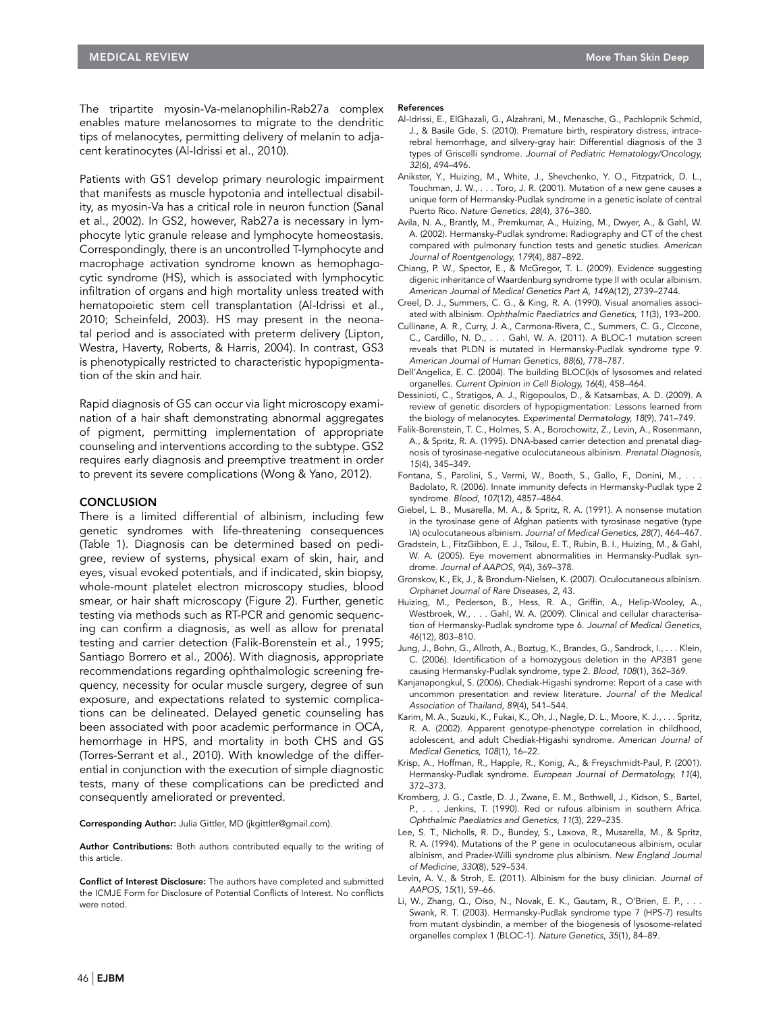The tripartite myosin-Va-melanophilin-Rab27a complex enables mature melanosomes to migrate to the dendritic tips of melanocytes, permitting delivery of melanin to adjacent keratinocytes (Al-Idrissi et al., 2010).

Patients with GS1 develop primary neurologic impairment that manifests as muscle hypotonia and intellectual disability, as myosin-Va has a critical role in neuron function (Sanal et al., 2002). In GS2, however, Rab27a is necessary in lymphocyte lytic granule release and lymphocyte homeostasis. Correspondingly, there is an uncontrolled T-lymphocyte and macrophage activation syndrome known as hemophagocytic syndrome (HS), which is associated with lymphocytic infiltration of organs and high mortality unless treated with hematopoietic stem cell transplantation (Al-Idrissi et al., 2010; Scheinfeld, 2003). HS may present in the neonatal period and is associated with preterm delivery (Lipton, Westra, Haverty, Roberts, & Harris, 2004). In contrast, GS3 is phenotypically restricted to characteristic hypopigmentation of the skin and hair.

Rapid diagnosis of GS can occur via light microscopy examination of a hair shaft demonstrating abnormal aggregates of pigment, permitting implementation of appropriate counseling and interventions according to the subtype. GS2 requires early diagnosis and preemptive treatment in order to prevent its severe complications (Wong & Yano, 2012).

#### **CONCLUSION**

There is a limited differential of albinism, including few genetic syndromes with life-threatening consequences (Table 1). Diagnosis can be determined based on pedigree, review of systems, physical exam of skin, hair, and eyes, visual evoked potentials, and if indicated, skin biopsy, whole-mount platelet electron microscopy studies, blood smear, or hair shaft microscopy (Figure 2). Further, genetic testing via methods such as RT-PCR and genomic sequencing can confirm a diagnosis, as well as allow for prenatal testing and carrier detection (Falik-Borenstein et al., 1995; Santiago Borrero et al., 2006). With diagnosis, appropriate recommendations regarding ophthalmologic screening frequency, necessity for ocular muscle surgery, degree of sun exposure, and expectations related to systemic complications can be delineated. Delayed genetic counseling has been associated with poor academic performance in OCA, hemorrhage in HPS, and mortality in both CHS and GS (Torres-Serrant et al., 2010). With knowledge of the differential in conjunction with the execution of simple diagnostic tests, many of these complications can be predicted and consequently ameliorated or prevented.

Corresponding Author: Julia Gittler, MD (jkgittler@gmail.com).

Author Contributions: Both authors contributed equally to the writing of this article.

Conflict of Interest Disclosure: The authors have completed and submitted the ICMJE Form for Disclosure of Potential Conflicts of Interest. No conflicts were noted.

#### References

- Al-Idrissi, E., ElGhazali, G., Alzahrani, M., Menasche, G., Pachlopnik Schmid, J., & Basile Gde, S. (2010). Premature birth, respiratory distress, intracerebral hemorrhage, and silvery-gray hair: Differential diagnosis of the 3 types of Griscelli syndrome. Journal of Pediatric Hematology/Oncology, 32(6), 494–496.
- Anikster, Y., Huizing, M., White, J., Shevchenko, Y. O., Fitzpatrick, D. L., Touchman, J. W., . . . Toro, J. R. (2001). Mutation of a new gene causes a unique form of Hermansky-Pudlak syndrome in a genetic isolate of central Puerto Rico. Nature Genetics, 28(4), 376–380.
- Avila, N. A., Brantly, M., Premkumar, A., Huizing, M., Dwyer, A., & Gahl, W. A. (2002). Hermansky-Pudlak syndrome: Radiography and CT of the chest compared with pulmonary function tests and genetic studies. American Journal of Roentgenology, 179(4), 887–892.
- Chiang, P. W., Spector, E., & McGregor, T. L. (2009). Evidence suggesting digenic inheritance of Waardenburg syndrome type II with ocular albinism. American Journal of Medical Genetics Part A, 149A(12), 2739–2744.
- Creel, D. J., Summers, C. G., & King, R. A. (1990). Visual anomalies associated with albinism. Ophthalmic Paediatrics and Genetics, 11(3), 193–200.
- Cullinane, A. R., Curry, J. A., Carmona-Rivera, C., Summers, C. G., Ciccone, C., Cardillo, N. D., . . . Gahl, W. A. (2011). A BLOC-1 mutation screen reveals that PLDN is mutated in Hermansky-Pudlak syndrome type 9. American Journal of Human Genetics, 88(6), 778–787.
- Dell'Angelica, E. C. (2004). The building BLOC(k)s of lysosomes and related organelles. Current Opinion in Cell Biology, 16(4), 458–464.
- Dessinioti, C., Stratigos, A. J., Rigopoulos, D., & Katsambas, A. D. (2009). A review of genetic disorders of hypopigmentation: Lessons learned from the biology of melanocytes. Experimental Dermatology, 18(9), 741–749.
- Falik-Borenstein, T. C., Holmes, S. A., Borochowitz, Z., Levin, A., Rosenmann, A., & Spritz, R. A. (1995). DNA-based carrier detection and prenatal diagnosis of tyrosinase-negative oculocutaneous albinism. Prenatal Diagnosis, 15(4), 345–349.
- Fontana, S., Parolini, S., Vermi, W., Booth, S., Gallo, F., Donini, M., .. Badolato, R. (2006). Innate immunity defects in Hermansky-Pudlak type 2 syndrome. Blood, 107(12), 4857–4864.
- Giebel, L. B., Musarella, M. A., & Spritz, R. A. (1991). A nonsense mutation in the tyrosinase gene of Afghan patients with tyrosinase negative (type IA) oculocutaneous albinism. Journal of Medical Genetics, 28(7), 464–467.
- Gradstein, L., FitzGibbon, E. J., Tsilou, E. T., Rubin, B. I., Huizing, M., & Gahl, W. A. (2005). Eye movement abnormalities in Hermansky-Pudlak syndrome. Journal of AAPOS, 9(4), 369–378.
- Gronskov, K., Ek, J., & Brondum-Nielsen, K. (2007). Oculocutaneous albinism. Orphanet Journal of Rare Diseases, 2, 43.
- Huizing, M., Pederson, B., Hess, R. A., Griffin, A., Helip-Wooley, A., Westbroek, W., . . . Gahl, W. A. (2009). Clinical and cellular characterisation of Hermansky-Pudlak syndrome type 6. Journal of Medical Genetics, 46(12), 803–810.
- Jung, J., Bohn, G., Allroth, A., Boztug, K., Brandes, G., Sandrock, I., . . . Klein, C. (2006). Identification of a homozygous deletion in the AP3B1 gene causing Hermansky-Pudlak syndrome, type 2. Blood, 108(1), 362–369.
- Kanjanapongkul, S. (2006). Chediak-Higashi syndrome: Report of a case with uncommon presentation and review literature. Journal of the Medical Association of Thailand, 89(4), 541–544.
- Karim, M. A., Suzuki, K., Fukai, K., Oh, J., Nagle, D. L., Moore, K. J., . . . Spritz, R. A. (2002). Apparent genotype-phenotype correlation in childhood, adolescent, and adult Chediak-Higashi syndrome. American Journal of Medical Genetics, 108(1), 16–22.
- Krisp, A., Hoffman, R., Happle, R., Konig, A., & Freyschmidt-Paul, P. (2001). Hermansky-Pudlak syndrome. European Journal of Dermatology, 11(4), 372–373.
- Kromberg, J. G., Castle, D. J., Zwane, E. M., Bothwell, J., Kidson, S., Bartel, P., . . . Jenkins, T. (1990). Red or rufous albinism in southern Africa. Ophthalmic Paediatrics and Genetics, 11(3), 229–235.
- Lee, S. T., Nicholls, R. D., Bundey, S., Laxova, R., Musarella, M., & Spritz, R. A. (1994). Mutations of the P gene in oculocutaneous albinism, ocular albinism, and Prader-Willi syndrome plus albinism. New England Journal of Medicine, 330(8), 529–534.
- Levin, A. V., & Stroh, E. (2011). Albinism for the busy clinician. Journal of AAPOS, 15(1), 59–66.
- Li, W., Zhang, Q., Oiso, N., Novak, E. K., Gautam, R., O'Brien, E. P., . . . Swank, R. T. (2003). Hermansky-Pudlak syndrome type 7 (HPS-7) results from mutant dysbindin, a member of the biogenesis of lysosome-related organelles complex 1 (BLOC-1). Nature Genetics, 35(1), 84–89.